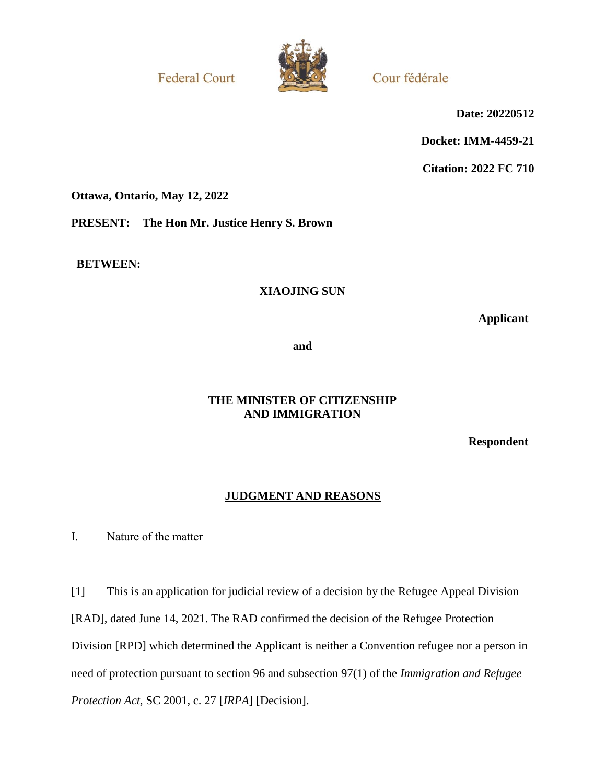**Federal Court** 



Cour fédérale

**Date: 20220512**

**Docket: IMM-4459-21**

**Citation: 2022 FC 710**

**Ottawa, Ontario, May 12, 2022**

**PRESENT: The Hon Mr. Justice Henry S. Brown**

**BETWEEN:**

# **XIAOJING SUN**

**Applicant**

**and**

# **THE MINISTER OF CITIZENSHIP AND IMMIGRATION**

**Respondent**

# **JUDGMENT AND REASONS**

I. Nature of the matter

[1] This is an application for judicial review of a decision by the Refugee Appeal Division [RAD], dated June 14, 2021. The RAD confirmed the decision of the Refugee Protection Division [RPD] which determined the Applicant is neither a Convention refugee nor a person in need of protection pursuant to section 96 and subsection 97(1) of the *Immigration and Refugee Protection Act,* SC 2001, c. 27 [*IRPA*] [Decision].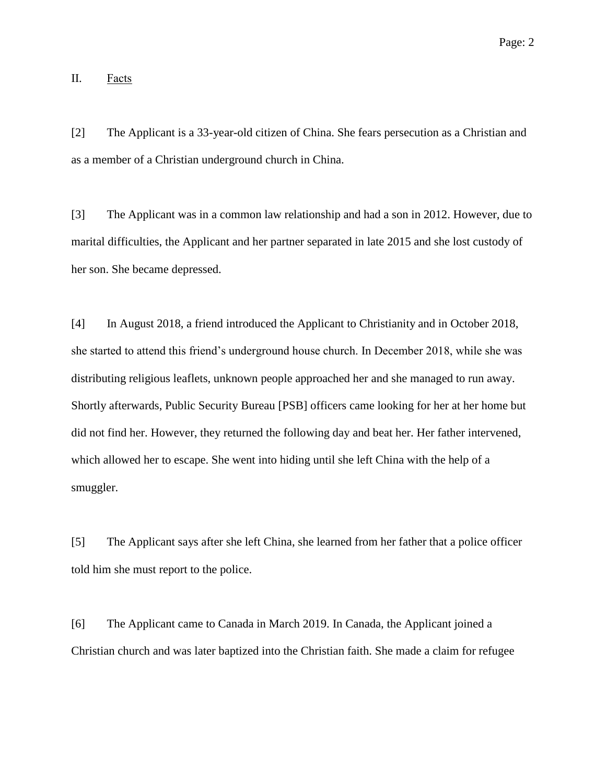II. Facts

[2] The Applicant is a 33-year-old citizen of China. She fears persecution as a Christian and as a member of a Christian underground church in China.

[3] The Applicant was in a common law relationship and had a son in 2012. However, due to marital difficulties, the Applicant and her partner separated in late 2015 and she lost custody of her son. She became depressed.

[4] In August 2018, a friend introduced the Applicant to Christianity and in October 2018, she started to attend this friend's underground house church. In December 2018, while she was distributing religious leaflets, unknown people approached her and she managed to run away. Shortly afterwards, Public Security Bureau [PSB] officers came looking for her at her home but did not find her. However, they returned the following day and beat her. Her father intervened, which allowed her to escape. She went into hiding until she left China with the help of a smuggler.

[5] The Applicant says after she left China, she learned from her father that a police officer told him she must report to the police.

[6] The Applicant came to Canada in March 2019. In Canada, the Applicant joined a Christian church and was later baptized into the Christian faith. She made a claim for refugee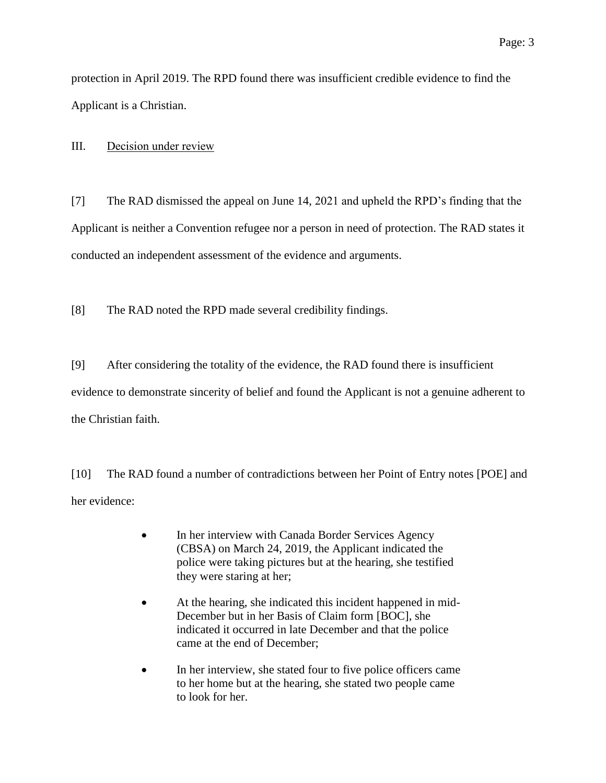protection in April 2019. The RPD found there was insufficient credible evidence to find the Applicant is a Christian.

III. Decision under review

[7] The RAD dismissed the appeal on June 14, 2021 and upheld the RPD's finding that the Applicant is neither a Convention refugee nor a person in need of protection. The RAD states it conducted an independent assessment of the evidence and arguments.

[8] The RAD noted the RPD made several credibility findings.

[9] After considering the totality of the evidence, the RAD found there is insufficient evidence to demonstrate sincerity of belief and found the Applicant is not a genuine adherent to

the Christian faith.

[10] The RAD found a number of contradictions between her Point of Entry notes [POE] and her evidence:

- In her interview with Canada Border Services Agency (CBSA) on March 24, 2019, the Applicant indicated the police were taking pictures but at the hearing, she testified they were staring at her;
- At the hearing, she indicated this incident happened in mid-December but in her Basis of Claim form [BOC], she indicated it occurred in late December and that the police came at the end of December;
- In her interview, she stated four to five police officers came to her home but at the hearing, she stated two people came to look for her.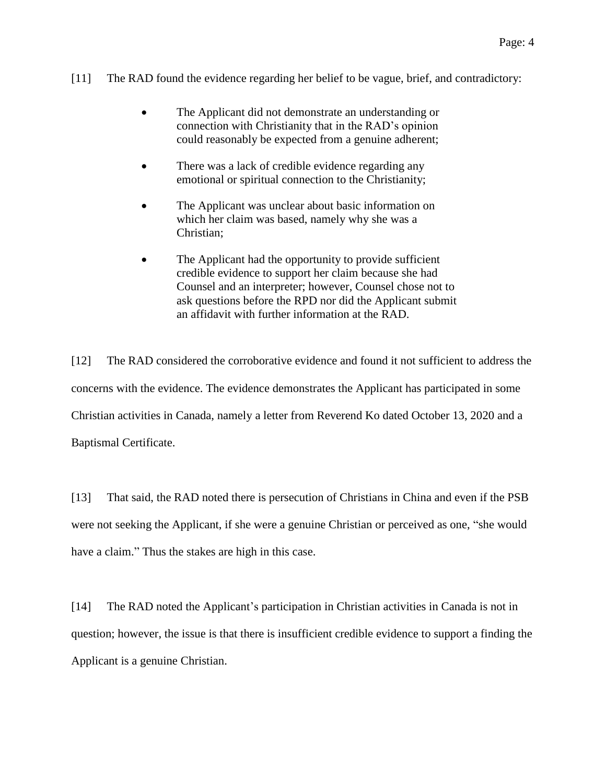### [11] The RAD found the evidence regarding her belief to be vague, brief, and contradictory:

- The Applicant did not demonstrate an understanding or connection with Christianity that in the RAD's opinion could reasonably be expected from a genuine adherent;
- There was a lack of credible evidence regarding any emotional or spiritual connection to the Christianity;
- The Applicant was unclear about basic information on which her claim was based, namely why she was a Christian;
- The Applicant had the opportunity to provide sufficient credible evidence to support her claim because she had Counsel and an interpreter; however, Counsel chose not to ask questions before the RPD nor did the Applicant submit an affidavit with further information at the RAD.

[12] The RAD considered the corroborative evidence and found it not sufficient to address the concerns with the evidence. The evidence demonstrates the Applicant has participated in some Christian activities in Canada, namely a letter from Reverend Ko dated October 13, 2020 and a Baptismal Certificate.

[13] That said, the RAD noted there is persecution of Christians in China and even if the PSB were not seeking the Applicant, if she were a genuine Christian or perceived as one, "she would have a claim." Thus the stakes are high in this case.

[14] The RAD noted the Applicant's participation in Christian activities in Canada is not in question; however, the issue is that there is insufficient credible evidence to support a finding the Applicant is a genuine Christian.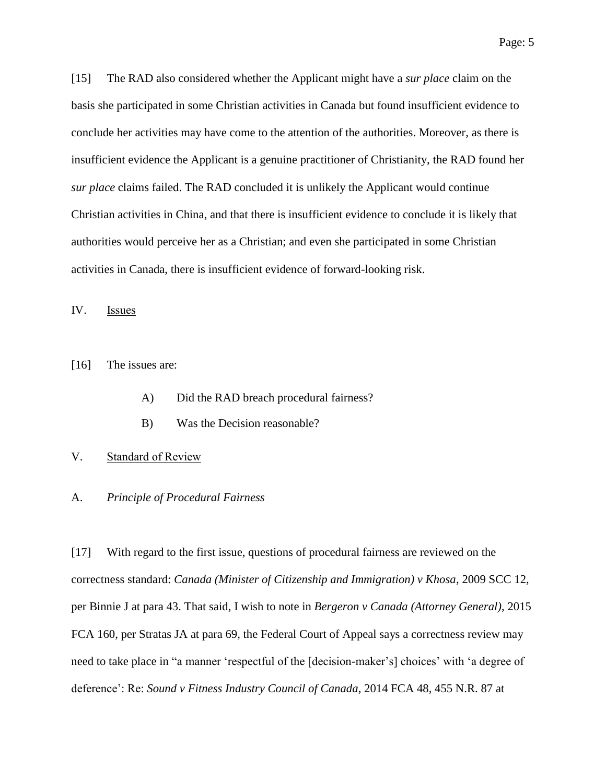[15] The RAD also considered whether the Applicant might have a *sur place* claim on the basis she participated in some Christian activities in Canada but found insufficient evidence to conclude her activities may have come to the attention of the authorities. Moreover, as there is insufficient evidence the Applicant is a genuine practitioner of Christianity, the RAD found her *sur place* claims failed. The RAD concluded it is unlikely the Applicant would continue Christian activities in China, and that there is insufficient evidence to conclude it is likely that authorities would perceive her as a Christian; and even she participated in some Christian activities in Canada, there is insufficient evidence of forward-looking risk.

IV. Issues

[16] The issues are:

- A) Did the RAD breach procedural fairness?
- B) Was the Decision reasonable?

### V. Standard of Review

#### A. *Principle of Procedural Fairness*

[17] With regard to the first issue, questions of procedural fairness are reviewed on the correctness standard: *Canada (Minister of Citizenship and Immigration) v Khosa*, 2009 SCC 12, per Binnie J at para 43. That said, I wish to note in *Bergeron v Canada (Attorney General)*, 2015 FCA 160, per Stratas JA at para 69, the Federal Court of Appeal says a correctness review may need to take place in "a manner 'respectful of the [decision-maker's] choices' with 'a degree of deference': Re: *Sound v Fitness Industry Council of Canada*, 2014 FCA 48, 455 N.R. 87 at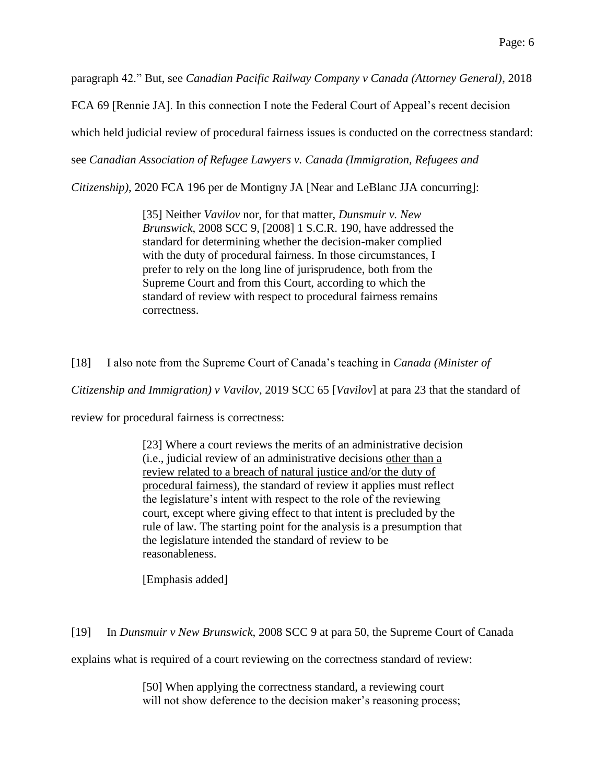paragraph 42." But, see *Canadian Pacific Railway Company v Canada (Attorney General)*, 2018

FCA 69 [Rennie JA]. In this connection I note the Federal Court of Appeal's recent decision

which held judicial review of procedural fairness issues is conducted on the correctness standard:

see *Canadian Association of Refugee Lawyers v. Canada (Immigration, Refugees and* 

*Citizenship)*, 2020 FCA 196 per de Montigny JA [Near and LeBlanc JJA concurring]:

[35] Neither *Vavilov* nor, for that matter, *Dunsmuir v. New Brunswick*, 2008 SCC 9, [2008] 1 S.C.R. 190, have addressed the standard for determining whether the decision-maker complied with the duty of procedural fairness. In those circumstances, I prefer to rely on the long line of jurisprudence, both from the Supreme Court and from this Court, according to which the standard of review with respect to procedural fairness remains correctness.

[18] I also note from the Supreme Court of Canada's teaching in *Canada (Minister of* 

*Citizenship and Immigration) v Vavilov*, 2019 SCC 65 [*Vavilov*] at para 23 that the standard of

review for procedural fairness is correctness:

[23] Where a court reviews the merits of an administrative decision (i.e., judicial review of an administrative decisions other than a review related to a breach of natural justice and/or the duty of procedural fairness), the standard of review it applies must reflect the legislature's intent with respect to the role of the reviewing court, except where giving effect to that intent is precluded by the rule of law. The starting point for the analysis is a presumption that the legislature intended the standard of review to be reasonableness.

[Emphasis added]

[19] In *Dunsmuir v New Brunswick*, 2008 SCC 9 at para 50, the Supreme Court of Canada

explains what is required of a court reviewing on the correctness standard of review:

[50] When applying the correctness standard, a reviewing court will not show deference to the decision maker's reasoning process;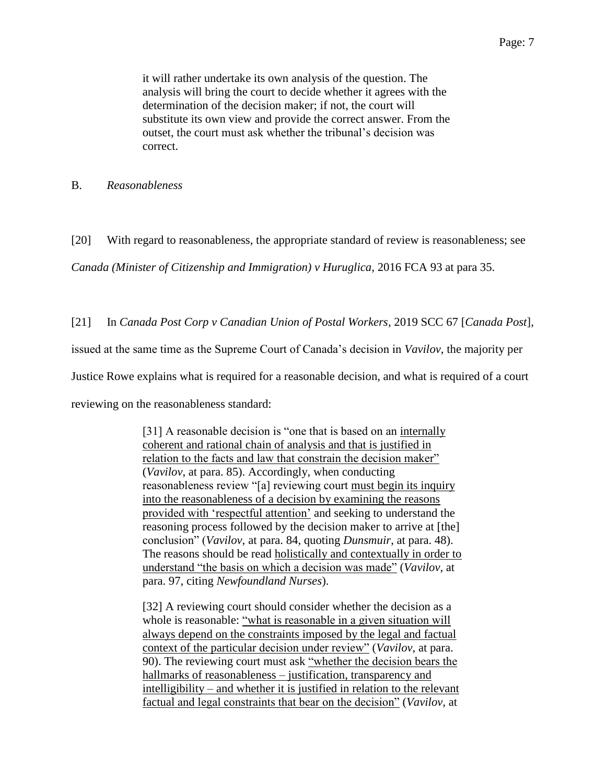it will rather undertake its own analysis of the question. The analysis will bring the court to decide whether it agrees with the determination of the decision maker; if not, the court will substitute its own view and provide the correct answer. From the outset, the court must ask whether the tribunal's decision was correct.

B. *Reasonableness*

[20] With regard to reasonableness, the appropriate standard of review is reasonableness; see

*Canada (Minister of Citizenship and Immigration) v Huruglica*, 2016 FCA 93 at para 35.

[21] In *Canada Post Corp v Canadian Union of Postal Workers*, 2019 SCC 67 [*Canada Post*],

issued at the same time as the Supreme Court of Canada's decision in *Vavilov*, the majority per

Justice Rowe explains what is required for a reasonable decision, and what is required of a court

reviewing on the reasonableness standard:

[31] A reasonable decision is "one that is based on an internally coherent and rational chain of analysis and that is justified in relation to the facts and law that constrain the decision maker" (*Vavilov*, at para. 85). Accordingly, when conducting reasonableness review "[a] reviewing court must begin its inquiry into the reasonableness of a decision by examining the reasons provided with 'respectful attention' and seeking to understand the reasoning process followed by the decision maker to arrive at [the] conclusion" (*Vavilov*, at para. 84, quoting *Dunsmuir*, at para. 48). The reasons should be read holistically and contextually in order to understand "the basis on which a decision was made" (*Vavilov*, at para. 97, citing *Newfoundland Nurses*).

[32] A reviewing court should consider whether the decision as a whole is reasonable: "what is reasonable in a given situation will always depend on the constraints imposed by the legal and factual context of the particular decision under review" (*Vavilov*, at para. 90). The reviewing court must ask "whether the decision bears the hallmarks of reasonableness – justification, transparency and intelligibility – and whether it is justified in relation to the relevant factual and legal constraints that bear on the decision" (*Vavilov*, at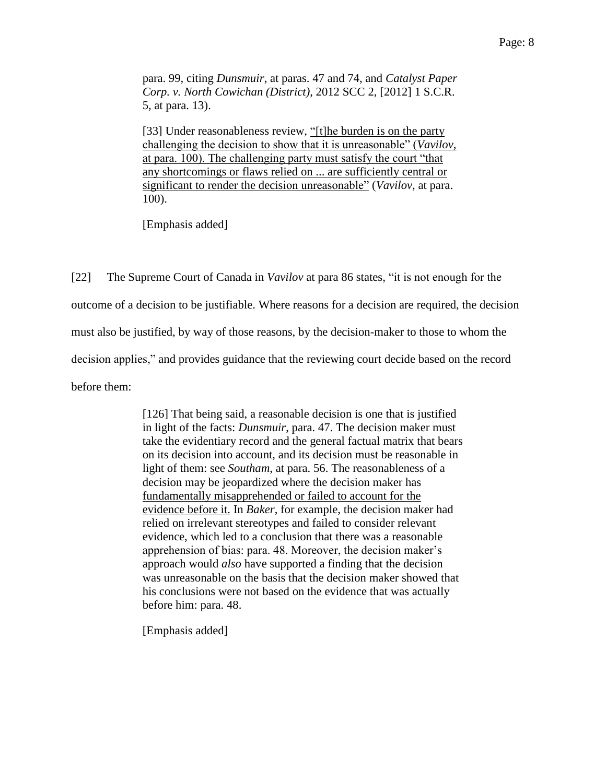para. 99, citing *Dunsmuir*, at paras. 47 and 74, and *Catalyst Paper Corp. v. North Cowichan (District)*, 2012 SCC 2, [2012] 1 S.C.R. 5, at para. 13).

[33] Under reasonableness review, "[t]he burden is on the party challenging the decision to show that it is unreasonable" (*Vavilov*, at para. 100). The challenging party must satisfy the court "that any shortcomings or flaws relied on ... are sufficiently central or significant to render the decision unreasonable" (*Vavilov*, at para. 100).

[Emphasis added]

[22] The Supreme Court of Canada in *Vavilov* at para 86 states, "it is not enough for the outcome of a decision to be justifiable. Where reasons for a decision are required, the decision must also be justified, by way of those reasons, by the decision-maker to those to whom the decision applies," and provides guidance that the reviewing court decide based on the record before them:

> [126] That being said, a reasonable decision is one that is justified in light of the facts: *Dunsmuir*, para. 47. The decision maker must take the evidentiary record and the general factual matrix that bears on its decision into account, and its decision must be reasonable in light of them: see *Southam*, at para. 56. The reasonableness of a decision may be jeopardized where the decision maker has fundamentally misapprehended or failed to account for the evidence before it. In *Baker*, for example, the decision maker had relied on irrelevant stereotypes and failed to consider relevant evidence, which led to a conclusion that there was a reasonable apprehension of bias: para. 48. Moreover, the decision maker's approach would *also* have supported a finding that the decision was unreasonable on the basis that the decision maker showed that his conclusions were not based on the evidence that was actually before him: para. 48.

[Emphasis added]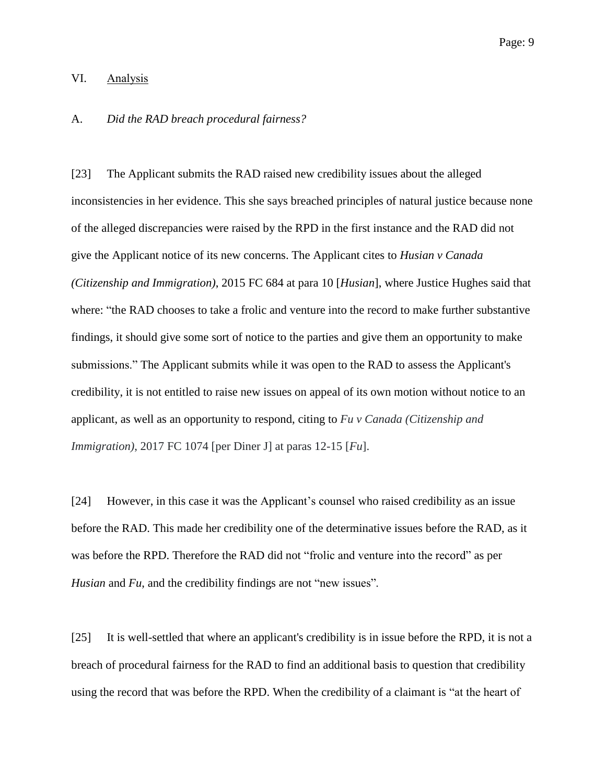### VI. Analysis

#### A. *Did the RAD breach procedural fairness?*

[23] The Applicant submits the RAD raised new credibility issues about the alleged inconsistencies in her evidence. This she says breached principles of natural justice because none of the alleged discrepancies were raised by the RPD in the first instance and the RAD did not give the Applicant notice of its new concerns. The Applicant cites to *Husian v Canada (Citizenship and Immigration)*, 2015 FC 684 at para 10 [*Husian*], where Justice Hughes said that where: "the RAD chooses to take a frolic and venture into the record to make further substantive findings, it should give some sort of notice to the parties and give them an opportunity to make submissions." The Applicant submits while it was open to the RAD to assess the Applicant's credibility, it is not entitled to raise new issues on appeal of its own motion without notice to an applicant, as well as an opportunity to respond, citing to *Fu v Canada (Citizenship and Immigration)*, 2017 FC 1074 [per Diner J] at paras 12-15 [*Fu*].

[24] However, in this case it was the Applicant's counsel who raised credibility as an issue before the RAD. This made her credibility one of the determinative issues before the RAD, as it was before the RPD. Therefore the RAD did not "frolic and venture into the record" as per *Husian* and *Fu*, and the credibility findings are not "new issues"*.*

[25] It is well-settled that where an applicant's credibility is in issue before the RPD, it is not a breach of procedural fairness for the RAD to find an additional basis to question that credibility using the record that was before the RPD. When the credibility of a claimant is "at the heart of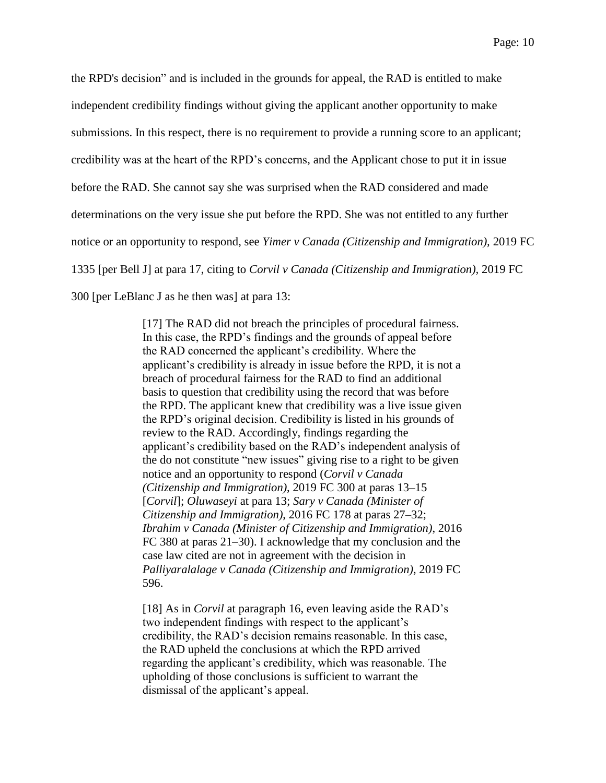the RPD's decision" and is included in the grounds for appeal, the RAD is entitled to make independent credibility findings without giving the applicant another opportunity to make submissions. In this respect, there is no requirement to provide a running score to an applicant; credibility was at the heart of the RPD's concerns, and the Applicant chose to put it in issue before the RAD. She cannot say she was surprised when the RAD considered and made determinations on the very issue she put before the RPD. She was not entitled to any further notice or an opportunity to respond, see *Yimer v Canada (Citizenship and Immigration),* 2019 FC 1335 [per Bell J] at para 17, citing to *Corvil v Canada (Citizenship and Immigration),* 2019 FC 300 [per LeBlanc J as he then was] at para 13:

> [17] The RAD did not breach the principles of procedural fairness. In this case, the RPD's findings and the grounds of appeal before the RAD concerned the applicant's credibility. Where the applicant's credibility is already in issue before the RPD, it is not a breach of procedural fairness for the RAD to find an additional basis to question that credibility using the record that was before the RPD. The applicant knew that credibility was a live issue given the RPD's original decision. Credibility is listed in his grounds of review to the RAD. Accordingly, findings regarding the applicant's credibility based on the RAD's independent analysis of the do not constitute "new issues" giving rise to a right to be given notice and an opportunity to respond (*Corvil v Canada (Citizenship and Immigration)*, 2019 FC 300 at paras 13–15 [*Corvil*]; *Oluwaseyi* at para 13; *Sary v Canada (Minister of Citizenship and Immigration)*, 2016 FC 178 at paras 27–32; *Ibrahim v Canada (Minister of Citizenship and Immigration)*, 2016 FC 380 at paras 21–30). I acknowledge that my conclusion and the case law cited are not in agreement with the decision in *Palliyaralalage v Canada (Citizenship and Immigration)*, 2019 FC 596.

[18] As in *Corvil* at paragraph 16, even leaving aside the RAD's two independent findings with respect to the applicant's credibility, the RAD's decision remains reasonable. In this case, the RAD upheld the conclusions at which the RPD arrived regarding the applicant's credibility, which was reasonable. The upholding of those conclusions is sufficient to warrant the dismissal of the applicant's appeal.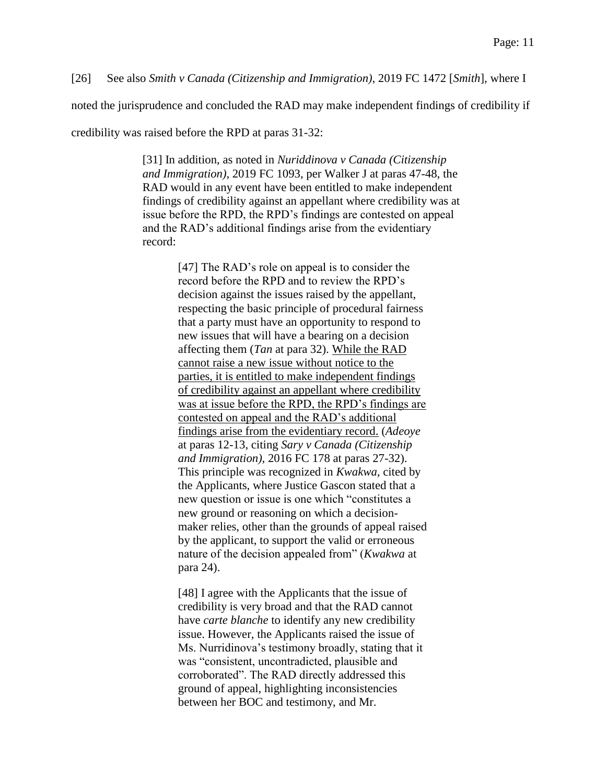[26] See also *Smith v Canada (Citizenship and Immigration)*, 2019 FC 1472 [*Smith*], where I

noted the jurisprudence and concluded the RAD may make independent findings of credibility if

credibility was raised before the RPD at paras 31-32:

[31] In addition, as noted in *Nuriddinova v Canada (Citizenship and Immigration)*, 2019 FC 1093, per Walker J at paras 47-48, the RAD would in any event have been entitled to make independent findings of credibility against an appellant where credibility was at issue before the RPD, the RPD's findings are contested on appeal and the RAD's additional findings arise from the evidentiary record:

> [47] The RAD's role on appeal is to consider the record before the RPD and to review the RPD's decision against the issues raised by the appellant, respecting the basic principle of procedural fairness that a party must have an opportunity to respond to new issues that will have a bearing on a decision affecting them (*Tan* at para 32). While the RAD cannot raise a new issue without notice to the parties, it is entitled to make independent findings of credibility against an appellant where credibility was at issue before the RPD, the RPD's findings are contested on appeal and the RAD's additional findings arise from the evidentiary record. (*Adeoye* at paras 12-13, citing *Sary v Canada (Citizenship and Immigration)*, 2016 FC 178 at paras 27-32). This principle was recognized in *Kwakwa*, cited by the Applicants, where Justice Gascon stated that a new question or issue is one which "constitutes a new ground or reasoning on which a decisionmaker relies, other than the grounds of appeal raised by the applicant, to support the valid or erroneous nature of the decision appealed from" (*Kwakwa* at para 24).

[48] I agree with the Applicants that the issue of credibility is very broad and that the RAD cannot have *carte blanche* to identify any new credibility issue. However, the Applicants raised the issue of Ms. Nurridinova's testimony broadly, stating that it was "consistent, uncontradicted, plausible and corroborated". The RAD directly addressed this ground of appeal, highlighting inconsistencies between her BOC and testimony, and Mr.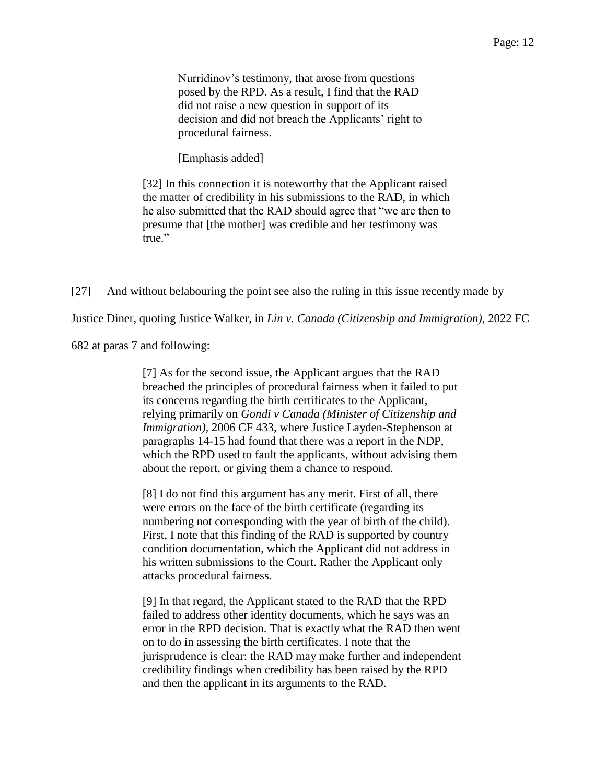Page: 12

Nurridinov's testimony, that arose from questions posed by the RPD. As a result, I find that the RAD did not raise a new question in support of its decision and did not breach the Applicants' right to procedural fairness.

[Emphasis added]

[32] In this connection it is noteworthy that the Applicant raised the matter of credibility in his submissions to the RAD, in which he also submitted that the RAD should agree that "we are then to presume that [the mother] was credible and her testimony was true."

[27] And without belabouring the point see also the ruling in this issue recently made by

Justice Diner, quoting Justice Walker, in *Lin v. Canada (Citizenship and Immigration)*, 2022 FC

682 at paras 7 and following:

[7] As for the second issue, the Applicant argues that the RAD breached the principles of procedural fairness when it failed to put its concerns regarding the birth certificates to the Applicant, relying primarily on *Gondi v Canada (Minister of Citizenship and Immigration*), 2006 CF 433, where Justice Layden-Stephenson at paragraphs 14-15 had found that there was a report in the NDP, which the RPD used to fault the applicants, without advising them about the report, or giving them a chance to respond.

[8] I do not find this argument has any merit. First of all, there were errors on the face of the birth certificate (regarding its numbering not corresponding with the year of birth of the child). First, I note that this finding of the RAD is supported by country condition documentation, which the Applicant did not address in his written submissions to the Court. Rather the Applicant only attacks procedural fairness.

[9] In that regard, the Applicant stated to the RAD that the RPD failed to address other identity documents, which he says was an error in the RPD decision. That is exactly what the RAD then went on to do in assessing the birth certificates. I note that the jurisprudence is clear: the RAD may make further and independent credibility findings when credibility has been raised by the RPD and then the applicant in its arguments to the RAD.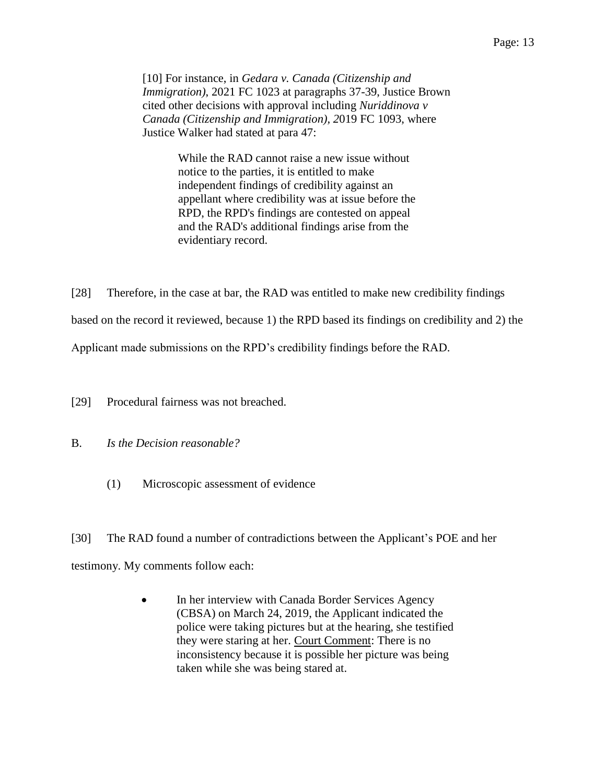[10] For instance, in *Gedara v. Canada (Citizenship and Immigration)*, 2021 FC 1023 at paragraphs 37-39, Justice Brown cited other decisions with approval including *Nuriddinova v Canada (Citizenship and Immigration), 2*019 FC 1093, where Justice Walker had stated at para 47:

> While the RAD cannot raise a new issue without notice to the parties, it is entitled to make independent findings of credibility against an appellant where credibility was at issue before the RPD, the RPD's findings are contested on appeal and the RAD's additional findings arise from the evidentiary record.

[28] Therefore, in the case at bar, the RAD was entitled to make new credibility findings

based on the record it reviewed, because 1) the RPD based its findings on credibility and 2) the

Applicant made submissions on the RPD's credibility findings before the RAD.

[29] Procedural fairness was not breached.

- B. *Is the Decision reasonable?*
	- (1) Microscopic assessment of evidence

[30] The RAD found a number of contradictions between the Applicant's POE and her testimony. My comments follow each:

> • In her interview with Canada Border Services Agency (CBSA) on March 24, 2019, the Applicant indicated the police were taking pictures but at the hearing, she testified they were staring at her. Court Comment: There is no inconsistency because it is possible her picture was being taken while she was being stared at.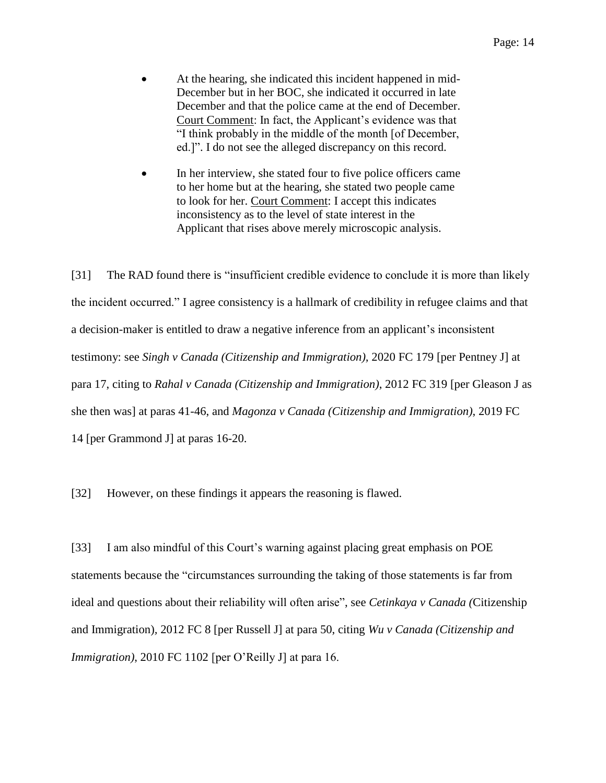- At the hearing, she indicated this incident happened in mid-December but in her BOC, she indicated it occurred in late December and that the police came at the end of December. Court Comment: In fact, the Applicant's evidence was that "I think probably in the middle of the month [of December, ed.]". I do not see the alleged discrepancy on this record.
- In her interview, she stated four to five police officers came to her home but at the hearing, she stated two people came to look for her. Court Comment: I accept this indicates inconsistency as to the level of state interest in the Applicant that rises above merely microscopic analysis.

[31] The RAD found there is "insufficient credible evidence to conclude it is more than likely the incident occurred." I agree consistency is a hallmark of credibility in refugee claims and that a decision-maker is entitled to draw a negative inference from an applicant's inconsistent testimony: see *Singh v Canada (Citizenship and Immigration),* 2020 FC 179 [per Pentney J] at para 17, citing to *Rahal v Canada (Citizenship and Immigration)*, 2012 FC 319 [per Gleason J as she then was] at paras 41-46, and *Magonza v Canada (Citizenship and Immigration)*, 2019 FC 14 [per Grammond J] at paras 16-20.

[32] However, on these findings it appears the reasoning is flawed.

[33] I am also mindful of this Court's warning against placing great emphasis on POE statements because the "circumstances surrounding the taking of those statements is far from ideal and questions about their reliability will often arise", see *Cetinkaya v Canada (*Citizenship and Immigration)*,* 2012 FC 8 [per Russell J] at para 50, citing *Wu v Canada (Citizenship and Immigration*), 2010 FC 1102 [per O'Reilly J] at para 16.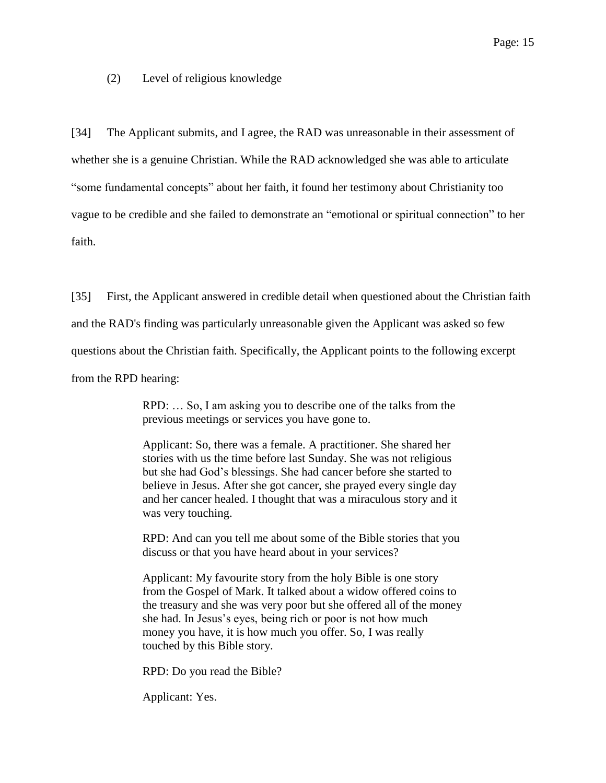(2) Level of religious knowledge

[34] The Applicant submits, and I agree, the RAD was unreasonable in their assessment of whether she is a genuine Christian. While the RAD acknowledged she was able to articulate "some fundamental concepts" about her faith, it found her testimony about Christianity too vague to be credible and she failed to demonstrate an "emotional or spiritual connection" to her faith.

[35] First, the Applicant answered in credible detail when questioned about the Christian faith and the RAD's finding was particularly unreasonable given the Applicant was asked so few questions about the Christian faith. Specifically, the Applicant points to the following excerpt from the RPD hearing:

> RPD: … So, I am asking you to describe one of the talks from the previous meetings or services you have gone to.

> Applicant: So, there was a female. A practitioner. She shared her stories with us the time before last Sunday. She was not religious but she had God's blessings. She had cancer before she started to believe in Jesus. After she got cancer, she prayed every single day and her cancer healed. I thought that was a miraculous story and it was very touching.

> RPD: And can you tell me about some of the Bible stories that you discuss or that you have heard about in your services?

> Applicant: My favourite story from the holy Bible is one story from the Gospel of Mark. It talked about a widow offered coins to the treasury and she was very poor but she offered all of the money she had. In Jesus's eyes, being rich or poor is not how much money you have, it is how much you offer. So, I was really touched by this Bible story.

RPD: Do you read the Bible?

Applicant: Yes.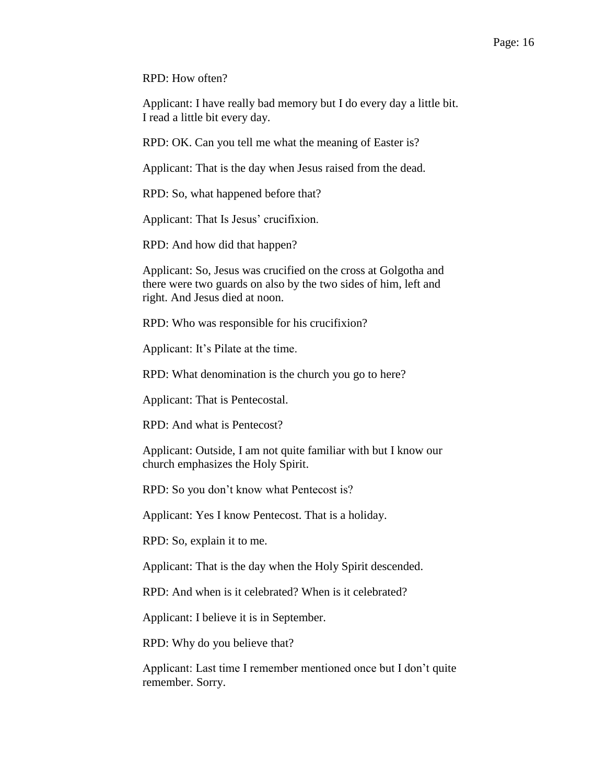RPD: How often?

Applicant: I have really bad memory but I do every day a little bit. I read a little bit every day.

RPD: OK. Can you tell me what the meaning of Easter is?

Applicant: That is the day when Jesus raised from the dead.

RPD: So, what happened before that?

Applicant: That Is Jesus' crucifixion.

RPD: And how did that happen?

Applicant: So, Jesus was crucified on the cross at Golgotha and there were two guards on also by the two sides of him, left and right. And Jesus died at noon.

RPD: Who was responsible for his crucifixion?

Applicant: It's Pilate at the time.

RPD: What denomination is the church you go to here?

Applicant: That is Pentecostal.

RPD: And what is Pentecost?

Applicant: Outside, I am not quite familiar with but I know our church emphasizes the Holy Spirit.

RPD: So you don't know what Pentecost is?

Applicant: Yes I know Pentecost. That is a holiday.

RPD: So, explain it to me.

Applicant: That is the day when the Holy Spirit descended.

RPD: And when is it celebrated? When is it celebrated?

Applicant: I believe it is in September.

RPD: Why do you believe that?

Applicant: Last time I remember mentioned once but I don't quite remember. Sorry.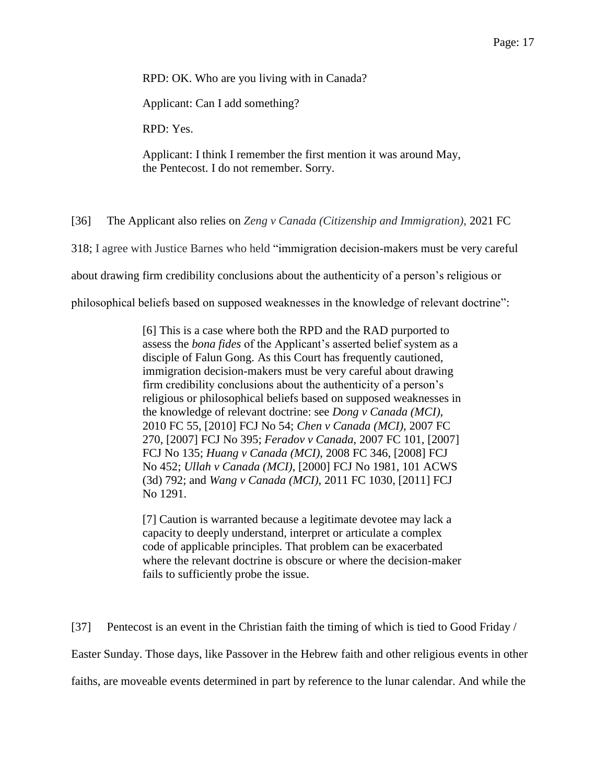RPD: OK. Who are you living with in Canada?

Applicant: Can I add something?

RPD: Yes.

Applicant: I think I remember the first mention it was around May, the Pentecost. I do not remember. Sorry.

[36] The Applicant also relies on *Zeng v Canada (Citizenship and Immigration)*, 2021 FC

318; I agree with Justice Barnes who held "immigration decision-makers must be very careful

about drawing firm credibility conclusions about the authenticity of a person's religious or

philosophical beliefs based on supposed weaknesses in the knowledge of relevant doctrine":

[6] This is a case where both the RPD and the RAD purported to assess the *bona fides* of the Applicant's asserted belief system as a disciple of Falun Gong. As this Court has frequently cautioned, immigration decision-makers must be very careful about drawing firm credibility conclusions about the authenticity of a person's religious or philosophical beliefs based on supposed weaknesses in the knowledge of relevant doctrine: see *Dong v Canada (MCI)*, 2010 FC 55, [2010] FCJ No 54; *Chen v Canada (MCI)*, 2007 FC 270, [2007] FCJ No 395; *Feradov v Canada*, 2007 FC 101, [2007] FCJ No 135; *Huang v Canada (MCI)*, 2008 FC 346, [2008] FCJ No 452; *Ullah v Canada (MCI)*, [2000] FCJ No 1981, 101 ACWS (3d) 792; and *Wang v Canada (MCI)*, 2011 FC 1030, [2011] FCJ No 1291.

[7] Caution is warranted because a legitimate devotee may lack a capacity to deeply understand, interpret or articulate a complex code of applicable principles. That problem can be exacerbated where the relevant doctrine is obscure or where the decision-maker fails to sufficiently probe the issue.

[37] Pentecost is an event in the Christian faith the timing of which is tied to Good Friday / Easter Sunday. Those days, like Passover in the Hebrew faith and other religious events in other faiths, are moveable events determined in part by reference to the lunar calendar. And while the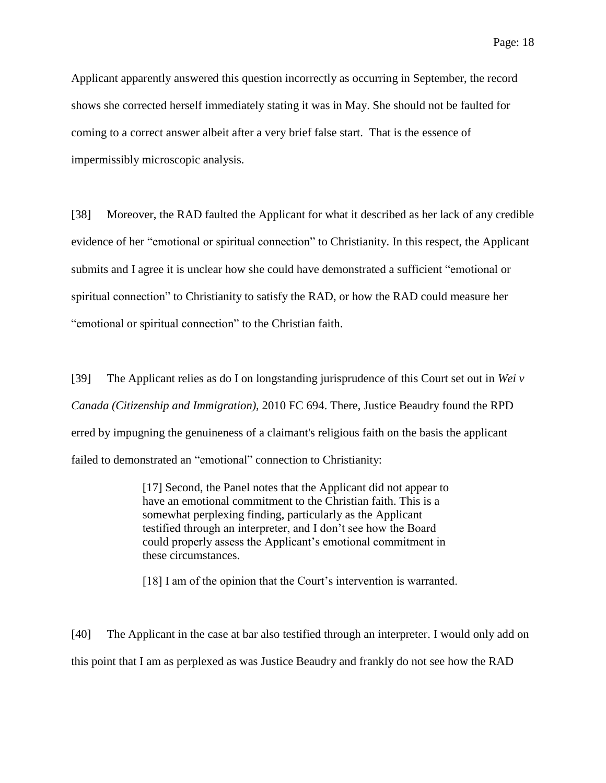Applicant apparently answered this question incorrectly as occurring in September, the record shows she corrected herself immediately stating it was in May. She should not be faulted for coming to a correct answer albeit after a very brief false start. That is the essence of impermissibly microscopic analysis.

[38] Moreover, the RAD faulted the Applicant for what it described as her lack of any credible evidence of her "emotional or spiritual connection" to Christianity. In this respect, the Applicant submits and I agree it is unclear how she could have demonstrated a sufficient "emotional or spiritual connection" to Christianity to satisfy the RAD, or how the RAD could measure her "emotional or spiritual connection" to the Christian faith.

[39] The Applicant relies as do I on longstanding jurisprudence of this Court set out in *Wei v Canada (Citizenship and Immigration),* 2010 FC 694. There, Justice Beaudry found the RPD erred by impugning the genuineness of a claimant's religious faith on the basis the applicant failed to demonstrated an "emotional" connection to Christianity:

> [17] Second, the Panel notes that the Applicant did not appear to have an emotional commitment to the Christian faith. This is a somewhat perplexing finding, particularly as the Applicant testified through an interpreter, and I don't see how the Board could properly assess the Applicant's emotional commitment in these circumstances.

[18] I am of the opinion that the Court's intervention is warranted.

[40] The Applicant in the case at bar also testified through an interpreter. I would only add on this point that I am as perplexed as was Justice Beaudry and frankly do not see how the RAD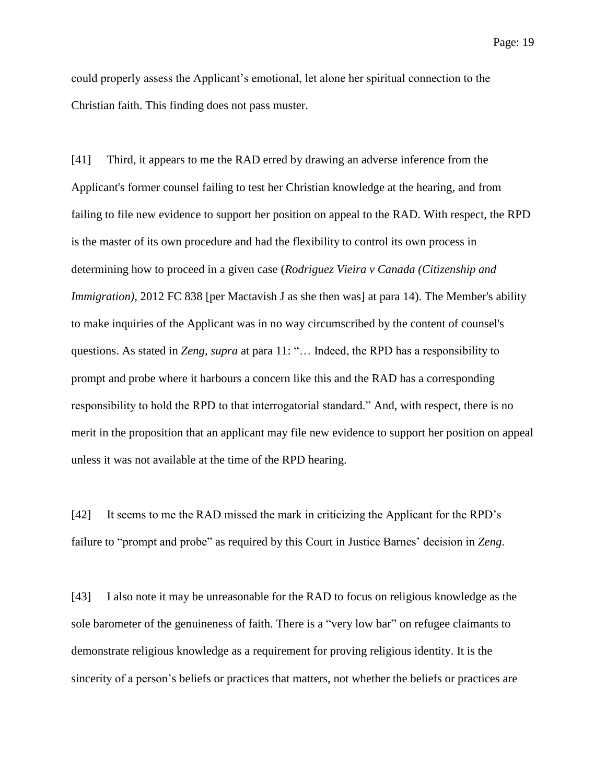could properly assess the Applicant's emotional, let alone her spiritual connection to the Christian faith. This finding does not pass muster.

[41] Third, it appears to me the RAD erred by drawing an adverse inference from the Applicant's former counsel failing to test her Christian knowledge at the hearing, and from failing to file new evidence to support her position on appeal to the RAD. With respect, the RPD is the master of its own procedure and had the flexibility to control its own process in determining how to proceed in a given case (*Rodriguez Vieira v Canada (Citizenship and Immigration*), 2012 FC 838 [per Mactavish J as she then was] at para 14). The Member's ability to make inquiries of the Applicant was in no way circumscribed by the content of counsel's questions. As stated in *Zeng, supra* at para 11: "… Indeed, the RPD has a responsibility to prompt and probe where it harbours a concern like this and the RAD has a corresponding responsibility to hold the RPD to that interrogatorial standard." And, with respect, there is no merit in the proposition that an applicant may file new evidence to support her position on appeal unless it was not available at the time of the RPD hearing.

[42] It seems to me the RAD missed the mark in criticizing the Applicant for the RPD's failure to "prompt and probe" as required by this Court in Justice Barnes' decision in *Zeng*.

[43] I also note it may be unreasonable for the RAD to focus on religious knowledge as the sole barometer of the genuineness of faith. There is a "very low bar" on refugee claimants to demonstrate religious knowledge as a requirement for proving religious identity. It is the sincerity of a person's beliefs or practices that matters, not whether the beliefs or practices are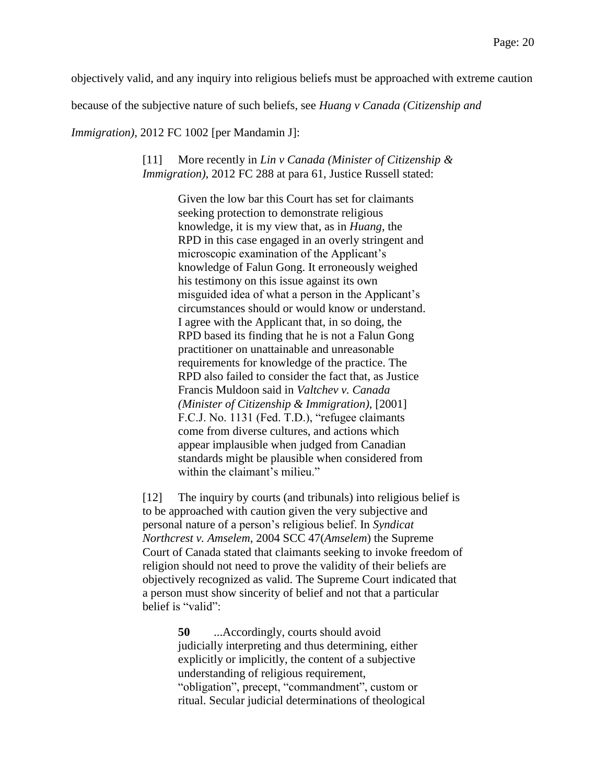objectively valid, and any inquiry into religious beliefs must be approached with extreme caution

because of the subjective nature of such beliefs, see *Huang v Canada (Citizenship and* 

*Immigration*), 2012 FC 1002 [per Mandamin J]:

## [11] More recently in *Lin v Canada (Minister of Citizenship & Immigration)*, 2012 FC 288 at para 61, Justice Russell stated:

Given the low bar this Court has set for claimants seeking protection to demonstrate religious knowledge, it is my view that, as in *Huang*, the RPD in this case engaged in an overly stringent and microscopic examination of the Applicant's knowledge of Falun Gong. It erroneously weighed his testimony on this issue against its own misguided idea of what a person in the Applicant's circumstances should or would know or understand. I agree with the Applicant that, in so doing, the RPD based its finding that he is not a Falun Gong practitioner on unattainable and unreasonable requirements for knowledge of the practice. The RPD also failed to consider the fact that, as Justice Francis Muldoon said in *Valtchev v. Canada (Minister of Citizenship & Immigration)*, [2001] F.C.J. No. 1131 (Fed. T.D.), "refugee claimants come from diverse cultures, and actions which appear implausible when judged from Canadian standards might be plausible when considered from within the claimant's milieu."

[12] The inquiry by courts (and tribunals) into religious belief is to be approached with caution given the very subjective and personal nature of a person's religious belief. In *Syndicat Northcrest v. Amselem*, 2004 SCC 47(*Amselem*) the Supreme Court of Canada stated that claimants seeking to invoke freedom of religion should not need to prove the validity of their beliefs are objectively recognized as valid. The Supreme Court indicated that a person must show sincerity of belief and not that a particular belief is "valid":

> **50** ...Accordingly, courts should avoid judicially interpreting and thus determining, either explicitly or implicitly, the content of a subjective understanding of religious requirement, "obligation", precept, "commandment", custom or ritual. Secular judicial determinations of theological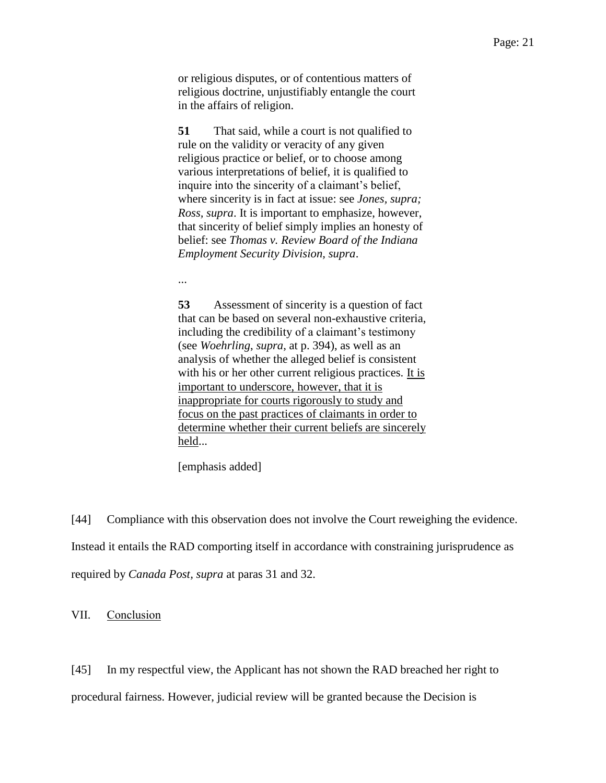or religious disputes, or of contentious matters of religious doctrine, unjustifiably entangle the court in the affairs of religion.

**51** That said, while a court is not qualified to rule on the validity or veracity of any given religious practice or belief, or to choose among various interpretations of belief, it is qualified to inquire into the sincerity of a claimant's belief, where sincerity is in fact at issue: see *Jones, supra; Ross, supra*. It is important to emphasize, however, that sincerity of belief simply implies an honesty of belief: see *Thomas v. Review Board of the Indiana Employment Security Division, supra*.

...

**53** Assessment of sincerity is a question of fact that can be based on several non-exhaustive criteria, including the credibility of a claimant's testimony (see *Woehrling*, *supra*, at p. 394), as well as an analysis of whether the alleged belief is consistent with his or her other current religious practices. It is important to underscore, however, that it is inappropriate for courts rigorously to study and focus on the past practices of claimants in order to determine whether their current beliefs are sincerely held...

[emphasis added]

[44] Compliance with this observation does not involve the Court reweighing the evidence. Instead it entails the RAD comporting itself in accordance with constraining jurisprudence as required by *Canada Post, supra* at paras 31 and 32.

VII. Conclusion

[45] In my respectful view, the Applicant has not shown the RAD breached her right to procedural fairness. However, judicial review will be granted because the Decision is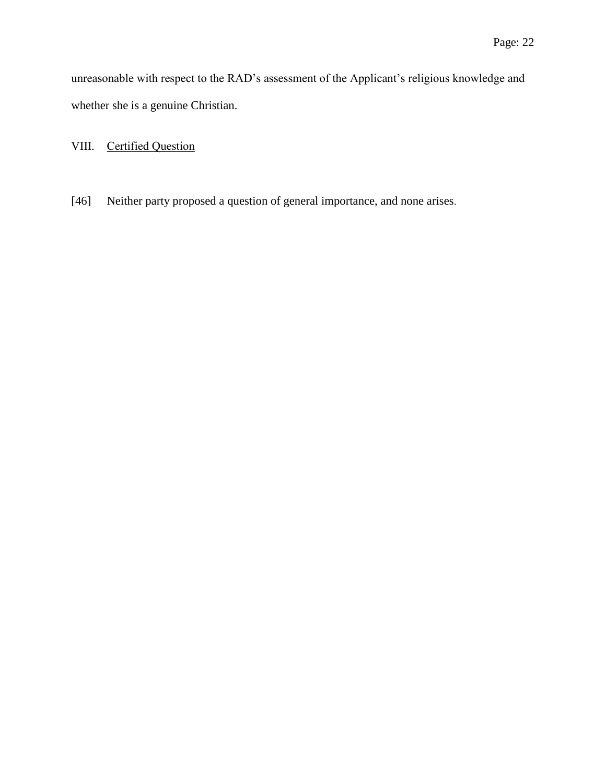unreasonable with respect to the RAD's assessment of the Applicant's religious knowledge and whether she is a genuine Christian.

VIII. Certified Question

[46] Neither party proposed a question of general importance, and none arises.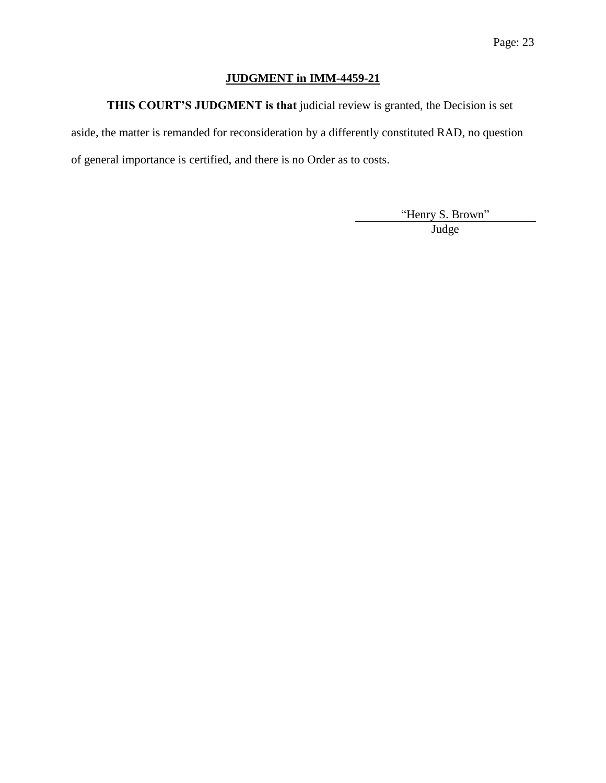# **JUDGMENT in IMM-4459-21**

**THIS COURT'S JUDGMENT is that** judicial review is granted, the Decision is set

aside, the matter is remanded for reconsideration by a differently constituted RAD, no question of general importance is certified, and there is no Order as to costs.

"Henry S. Brown"

Judge